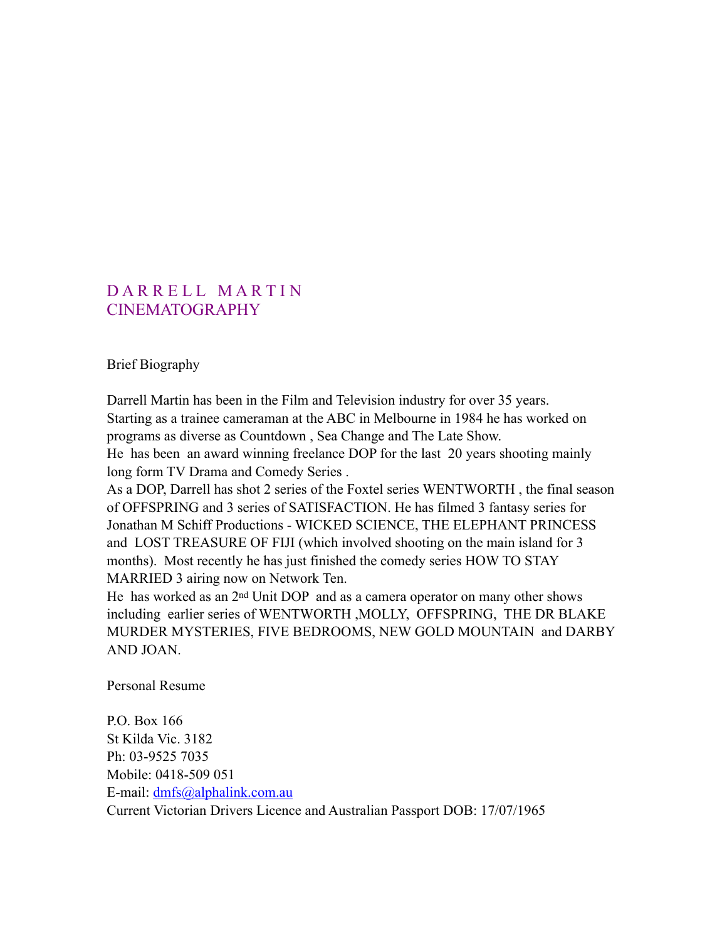# DARRELL MARTIN CINEMATOGRAPHY

Brief Biography

Darrell Martin has been in the Film and Television industry for over 35 years. Starting as a trainee cameraman at the ABC in Melbourne in 1984 he has worked on programs as diverse as Countdown , Sea Change and The Late Show. He has been an award winning freelance DOP for the last 20 years shooting mainly long form TV Drama and Comedy Series .

As a DOP, Darrell has shot 2 series of the Foxtel series WENTWORTH , the final season of OFFSPRING and 3 series of SATISFACTION. He has filmed 3 fantasy series for Jonathan M Schiff Productions - WICKED SCIENCE, THE ELEPHANT PRINCESS and LOST TREASURE OF FIJI (which involved shooting on the main island for 3 months). Most recently he has just finished the comedy series HOW TO STAY MARRIED 3 airing now on Network Ten.

He has worked as an 2nd Unit DOP and as a camera operator on many other shows including earlier series of WENTWORTH ,MOLLY, OFFSPRING, THE DR BLAKE MURDER MYSTERIES, FIVE BEDROOMS, NEW GOLD MOUNTAIN and DARBY AND JOAN.

Personal Resume

P.O. Box 166 St Kilda Vic. 3182 Ph: 03-9525 7035 Mobile: 0418-509 051 E-mail: [dmfs@alphalink.com.au](mailto:dmfs@alphalink.com.au) Current Victorian Drivers Licence and Australian Passport DOB: 17/07/1965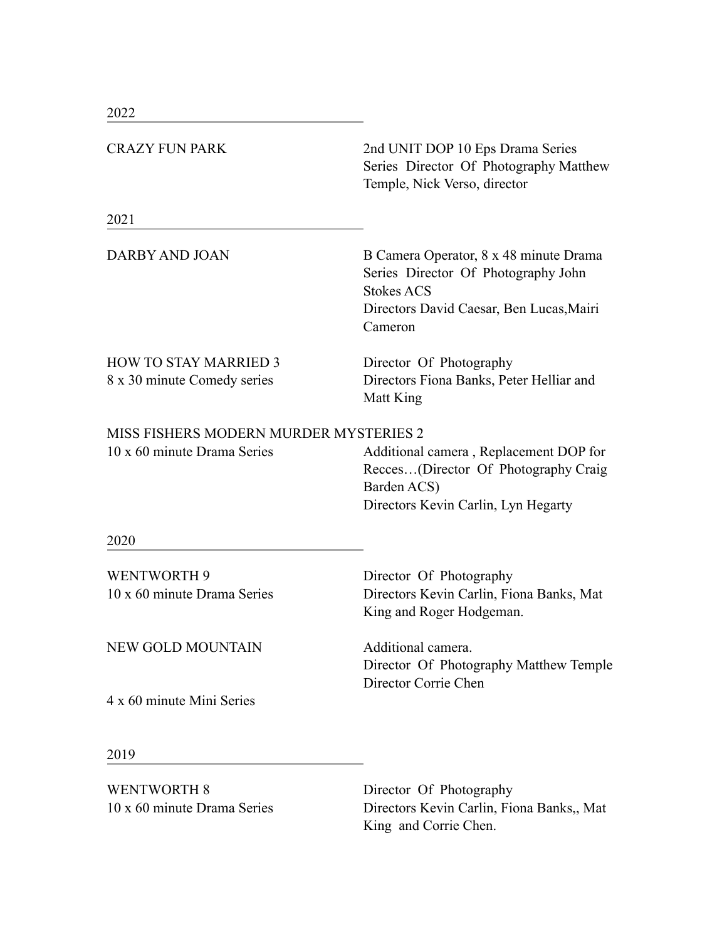| <b>CRAZY FUN PARK</b>                                                 | 2nd UNIT DOP 10 Eps Drama Series<br>Series Director Of Photography Matthew<br>Temple, Nick Verso, director                                                |
|-----------------------------------------------------------------------|-----------------------------------------------------------------------------------------------------------------------------------------------------------|
| 2021                                                                  |                                                                                                                                                           |
| DARBY AND JOAN                                                        | B Camera Operator, 8 x 48 minute Drama<br>Series Director Of Photography John<br><b>Stokes ACS</b><br>Directors David Caesar, Ben Lucas, Mairi<br>Cameron |
| <b>HOW TO STAY MARRIED 3</b><br>8 x 30 minute Comedy series           | Director Of Photography<br>Directors Fiona Banks, Peter Helliar and<br>Matt King                                                                          |
| MISS FISHERS MODERN MURDER MYSTERIES 2<br>10 x 60 minute Drama Series | Additional camera, Replacement DOP for<br>Recces(Director Of Photography Craig<br>Barden ACS)<br>Directors Kevin Carlin, Lyn Hegarty                      |
| 2020                                                                  |                                                                                                                                                           |
| <b>WENTWORTH 9</b><br>10 x 60 minute Drama Series                     | Director Of Photography<br>Directors Kevin Carlin, Fiona Banks, Mat<br>King and Roger Hodgeman.                                                           |
| <b>NEW GOLD MOUNTAIN</b>                                              | Additional camera.<br>Director Of Photography Matthew Temple<br>Director Corrie Chen                                                                      |
| 4 x 60 minute Mini Series                                             |                                                                                                                                                           |
| 2019                                                                  |                                                                                                                                                           |
| <b>WENTWORTH 8</b><br>10 x 60 minute Drama Series                     | Director Of Photography<br>Directors Kevin Carlin, Fiona Banks,, Mat                                                                                      |

King and Corrie Chen.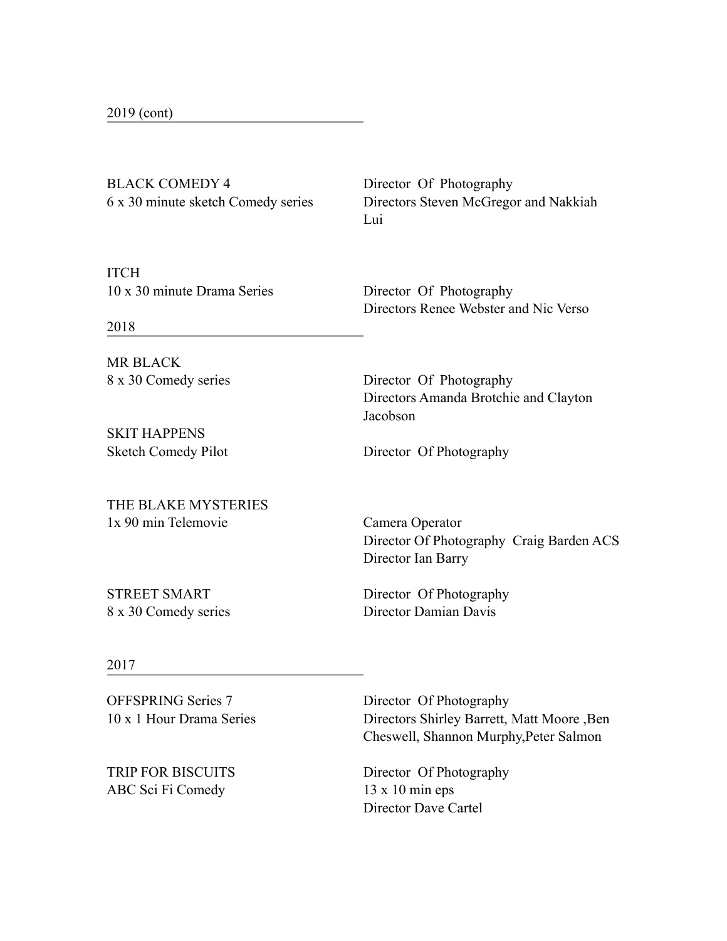| 2019 (cont) |  |
|-------------|--|
|-------------|--|

BLACK COMEDY 4 Director Of Photography

6 x 30 minute sketch Comedy series Directors Steven McGregor and Nakkiah Lui<sup>1</sup>

**ITCH** 10 x 30 minute Drama Series Director Of Photography

Directors Renee Webster and Nic Verso

2018

MR BLACK

SKIT HAPPENS

THE BLAKE MYSTERIES 1x 90 min Telemovie Camera Operator

8 x 30 Comedy series Director Of Photography Directors Amanda Brotchie and Clayton Jacobson

Sketch Comedy Pilot Director Of Photography

 Director Of Photography Craig Barden ACS Director Ian Barry

STREET SMART Director Of Photography

8 x 30 Comedy series Director Damian Davis

#### 2017

OFFSPRING Series 7 Director Of Photography

ABC Sci Fi Comedy 13 x 10 min eps

10 x 1 Hour Drama Series Directors Shirley Barrett, Matt Moore ,Ben Cheswell, Shannon Murphy,Peter Salmon

TRIP FOR BISCUITS Director Of Photography Director Dave Cartel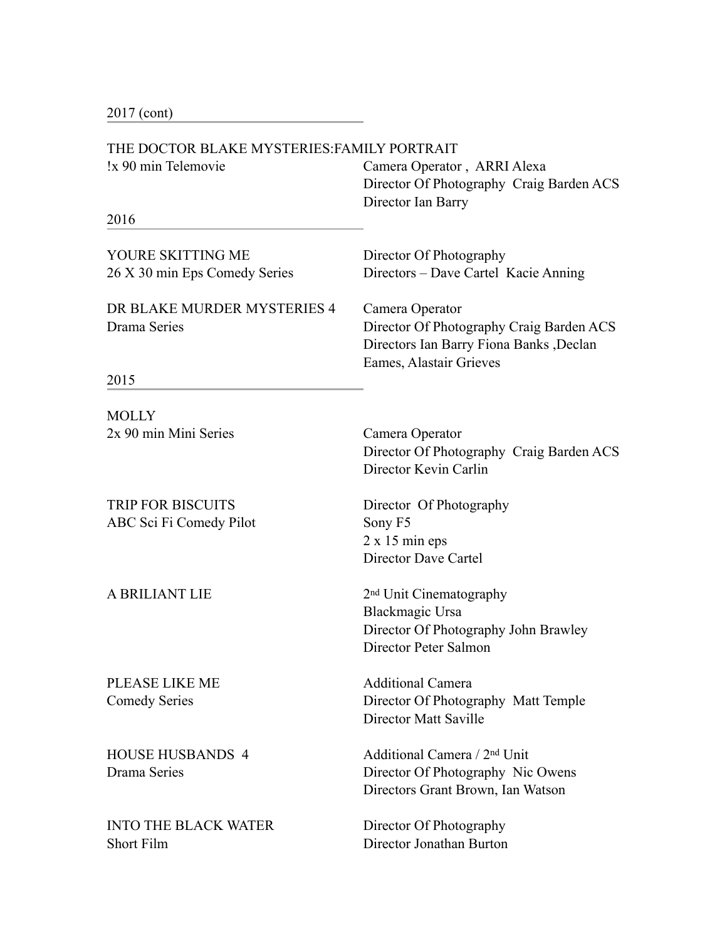2017 (cont)

#### THE DOCTOR BLAKE MYSTERIES:FAMILY PORTRAIT

| THE DOCTOR BLAKE MYSTERIES:FAMILY PORTRAIT |                                                                                                                |  |
|--------------------------------------------|----------------------------------------------------------------------------------------------------------------|--|
| !x 90 min Telemovie                        | Camera Operator, ARRI Alexa<br>Director Of Photography Craig Barden ACS                                        |  |
|                                            | Director Ian Barry                                                                                             |  |
| 2016                                       |                                                                                                                |  |
| YOURE SKITTING ME                          | Director Of Photography                                                                                        |  |
| 26 X 30 min Eps Comedy Series              | Directors - Dave Cartel Kacie Anning                                                                           |  |
| DR BLAKE MURDER MYSTERIES 4                | Camera Operator                                                                                                |  |
| Drama Series                               | Director Of Photography Craig Barden ACS<br>Directors Ian Barry Fiona Banks, Declan<br>Eames, Alastair Grieves |  |
| 2015                                       |                                                                                                                |  |
| <b>MOLLY</b>                               |                                                                                                                |  |
| 2x 90 min Mini Series                      | Camera Operator<br>Director Of Photography Craig Barden ACS<br>Director Kevin Carlin                           |  |
| <b>TRIP FOR BISCUITS</b>                   | Director Of Photography                                                                                        |  |
| ABC Sci Fi Comedy Pilot                    | Sony F5                                                                                                        |  |
|                                            | $2 \times 15$ min eps                                                                                          |  |
|                                            | Director Dave Cartel                                                                                           |  |
| A BRILIANT LIE                             | 2 <sup>nd</sup> Unit Cinematography                                                                            |  |
|                                            | <b>Blackmagic Ursa</b>                                                                                         |  |
|                                            | Director Of Photography John Brawley                                                                           |  |
|                                            | Director Peter Salmon                                                                                          |  |

PLEASE LIKE ME Additional Camera

INTO THE BLACK WATER Director Of Photography Short Film Director Jonathan Burton

Comedy Series Director Of Photography Matt Temple Director Matt Saville

HOUSE HUSBANDS 4 Additional Camera / 2nd Unit Drama Series Director Of Photography Nic Owens Directors Grant Brown, Ian Watson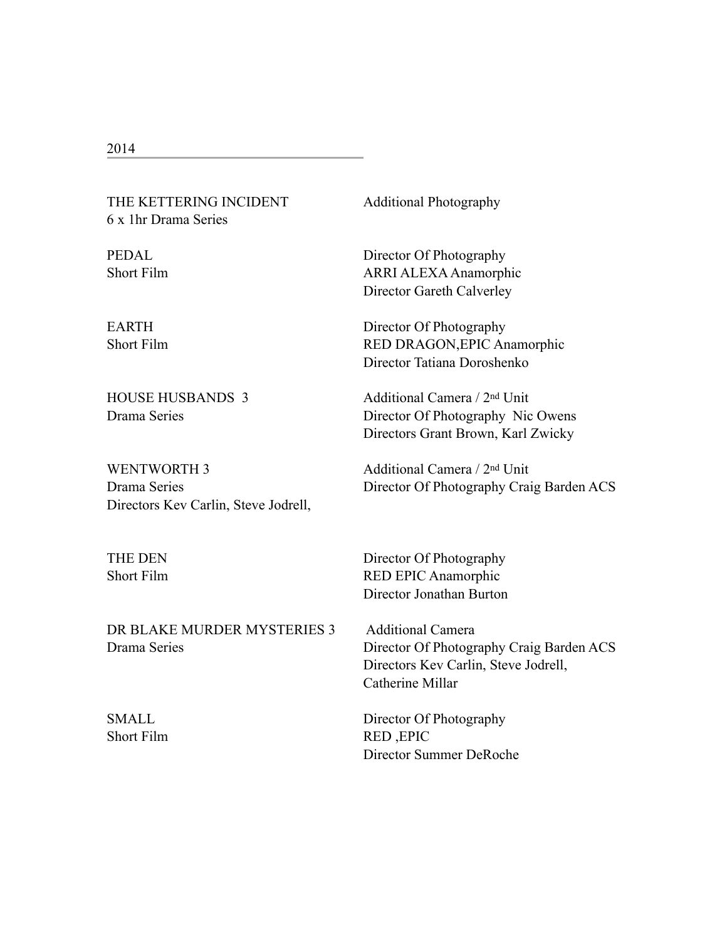# THE KETTERING INCIDENT Additional Photography 6 x 1hr Drama Series

WENTWORTH 3 Additional Camera / 2<sup>nd</sup> Unit Directors Kev Carlin, Steve Jodrell,

DR BLAKE MURDER MYSTERIES 3 Additional Camera

PEDAL Director Of Photography Short Film ARRI ALEXA Anamorphic Director Gareth Calverley

EARTH Director Of Photography Short Film RED DRAGON, EPIC Anamorphic Director Tatiana Doroshenko

HOUSE HUSBANDS 3 Additional Camera / 2nd Unit Drama Series Director Of Photography Nic Owens Directors Grant Brown, Karl Zwicky

Drama Series Director Of Photography Craig Barden ACS

THE DEN Director Of Photography Short Film RED EPIC Anamorphic Director Jonathan Burton

Drama Series Director Of Photography Craig Barden ACS Directors Kev Carlin, Steve Jodrell, Catherine Millar

SMALL Director Of Photography Short Film RED , EPIC Director Summer DeRoche

#### 2014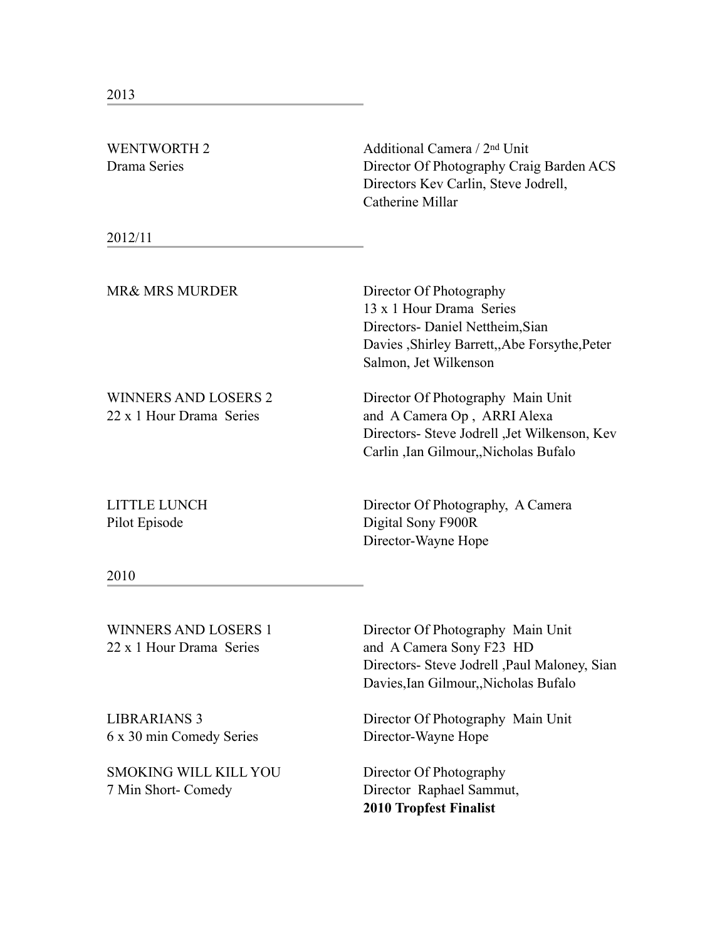| <b>WENTWORTH 2</b><br>Drama Series                      | Additional Camera / 2 <sup>nd</sup> Unit<br>Director Of Photography Craig Barden ACS<br>Directors Kev Carlin, Steve Jodrell,<br>Catherine Millar                  |
|---------------------------------------------------------|-------------------------------------------------------------------------------------------------------------------------------------------------------------------|
| 2012/11                                                 |                                                                                                                                                                   |
| <b>MR&amp; MRS MURDER</b>                               | Director Of Photography<br>13 x 1 Hour Drama Series<br>Directors- Daniel Nettheim, Sian<br>Davies , Shirley Barrett, Abe Forsythe, Peter<br>Salmon, Jet Wilkenson |
| <b>WINNERS AND LOSERS 2</b><br>22 x 1 Hour Drama Series | Director Of Photography Main Unit<br>and A Camera Op, ARRI Alexa<br>Directors- Steve Jodrell , Jet Wilkenson, Kev<br>Carlin , Ian Gilmour, Nicholas Bufalo        |
| <b>LITTLE LUNCH</b><br>Pilot Episode                    | Director Of Photography, A Camera<br>Digital Sony F900R<br>Director-Wayne Hope                                                                                    |
| 2010                                                    |                                                                                                                                                                   |
| <b>WINNERS AND LOSERS 1</b><br>22 x 1 Hour Drama Series | Director Of Photography Main Unit<br>and A Camera Sony F23 HD<br>Directors- Steve Jodrell , Paul Maloney, Sian<br>Davies, Ian Gilmour,, Nicholas Bufalo           |
| <b>LIBRARIANS 3</b><br>6 x 30 min Comedy Series         | Director Of Photography Main Unit<br>Director-Wayne Hope                                                                                                          |
| <b>SMOKING WILL KILL YOU</b><br>7 Min Short- Comedy     | Director Of Photography<br>Director Raphael Sammut,<br><b>2010 Tropfest Finalist</b>                                                                              |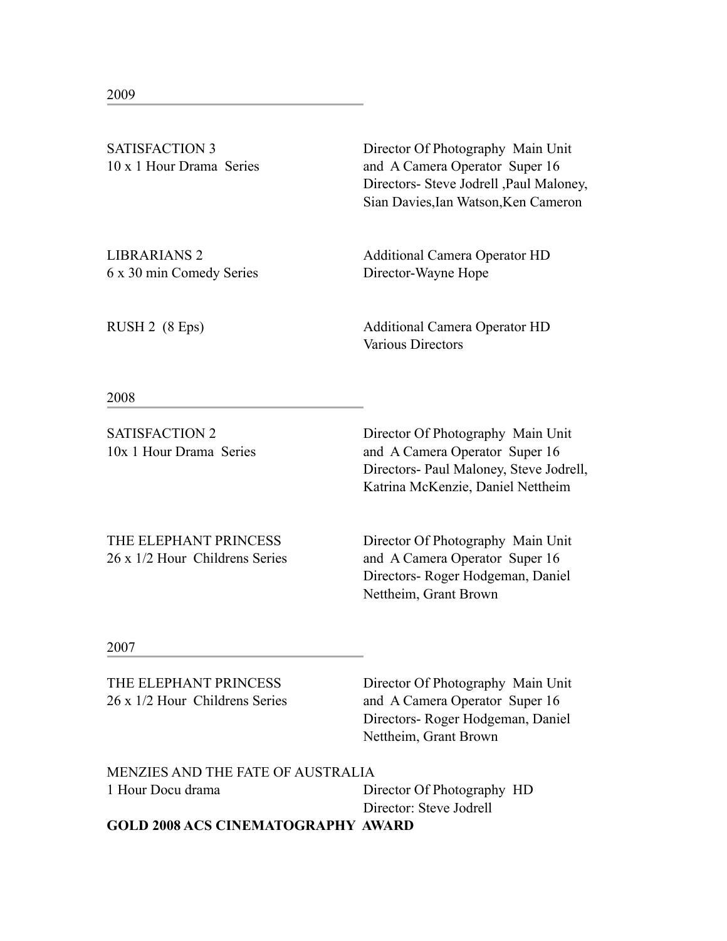| <b>SATISFACTION 3</b>    | Director Of Photography Main Unit        |
|--------------------------|------------------------------------------|
| 10 x 1 Hour Drama Series | and A Camera Operator Super 16           |
|                          | Directors- Steve Jodrell , Paul Maloney, |
|                          | Sian Davies, Ian Watson, Ken Cameron     |

6 x 30 min Comedy Series Director-Wayne Hope

LIBRARIANS 2 Additional Camera Operator HD

RUSH 2 (8 Eps) Additional Camera Operator HD Various Directors

2008

SATISFACTION 2 Director Of Photography Main Unit 10x 1 Hour Drama Series and A Camera Operator Super 16 Directors- Paul Maloney, Steve Jodrell, Katrina McKenzie, Daniel Nettheim

THE ELEPHANT PRINCESS Director Of Photography Main Unit 26 x 1/2 Hour Childrens Series and A Camera Operator Super 16 Directors- Roger Hodgeman, Daniel Nettheim, Grant Brown

2007

THE ELEPHANT PRINCESS Director Of Photography Main Unit 26 x 1/2 Hour Childrens Series and A Camera Operator Super 16 Directors- Roger Hodgeman, Daniel Nettheim, Grant Brown MENZIES AND THE FATE OF AUSTRALIA 1 Hour Docu drama Director Of Photography HD Director: Steve Jodrell

**GOLD 2008 ACS CINEMATOGRAPHY AWARD**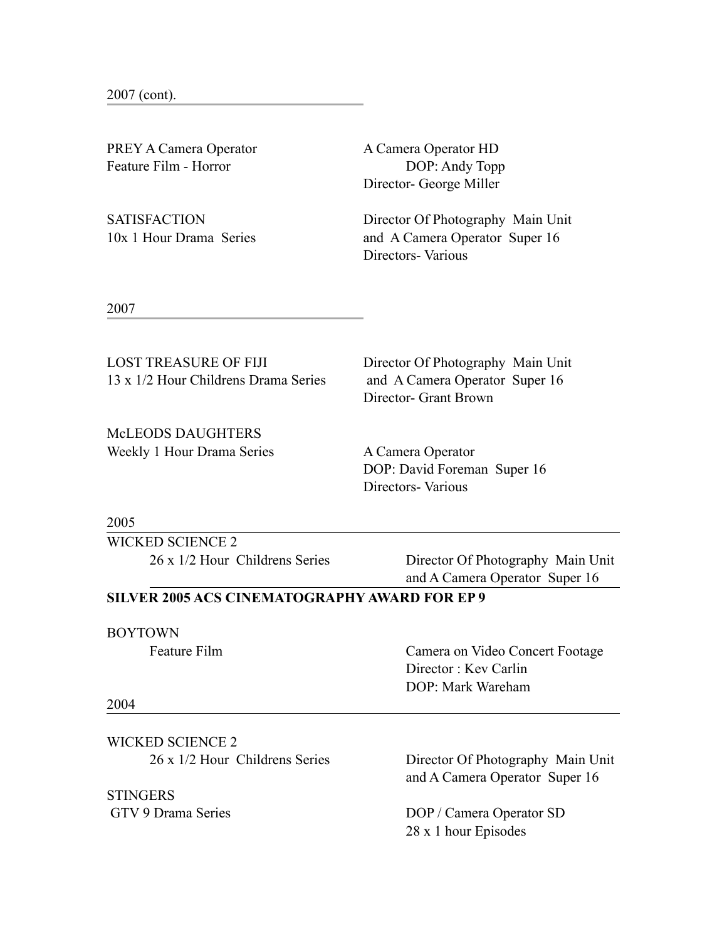2007 (cont).

PREY A Camera Operator **A Camera Operator HD** Feature Film - Horror DOP: Andy Topp

Director- George Miller

SATISFACTION Director Of Photography Main Unit 10x 1 Hour Drama Series and A Camera Operator Super 16 Directors- Various

2007

LOST TREASURE OF FIJI Director Of Photography Main Unit 13 x 1/2 Hour Childrens Drama Series and A Camera Operator Super 16

McLEODS DAUGHTERS Weekly 1 Hour Drama Series A Camera Operator

Director- Grant Brown

 DOP: David Foreman Super 16 Directors- Various

2005

WICKED SCIENCE 2 26 x 1/2 Hour Childrens Series Director Of Photography Main Unit

and A Camera Operator Super 16

## **SILVER 2005 ACS CINEMATOGRAPHY AWARD FOR EP 9**

#### BOYTOWN

Feature Film Camera on Video Concert Footage Director : Kev Carlin DOP: Mark Wareham

#### 2004

WICKED SCIENCE 2 26 x 1/2 Hour Childrens Series Director Of Photography Main Unit

**STINGERS** 

and A Camera Operator Super 16

GTV 9 Drama Series DOP / Camera Operator SD 28 x 1 hour Episodes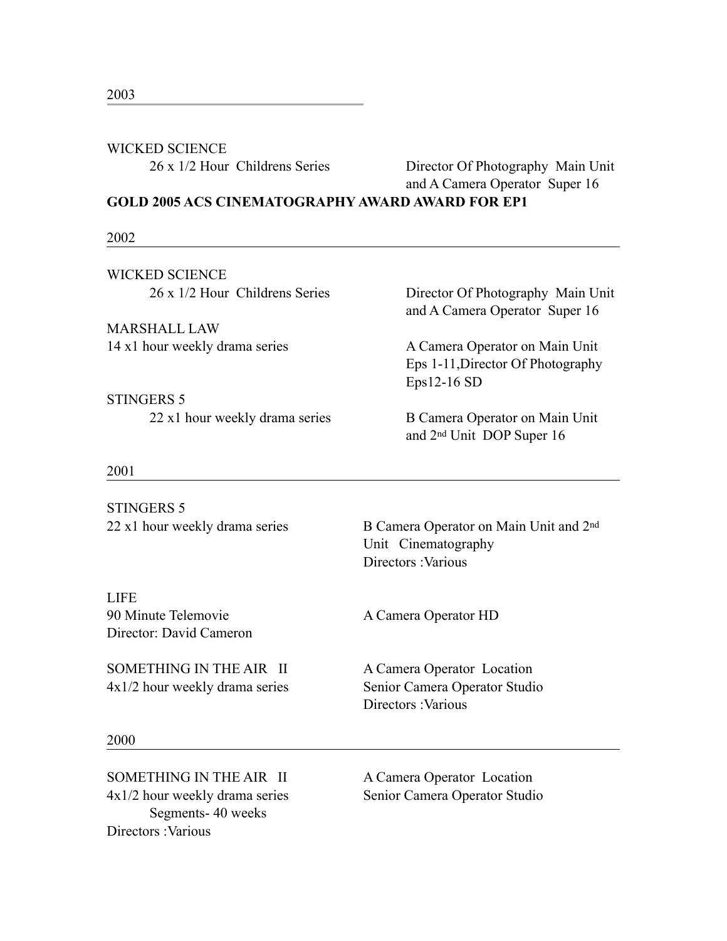# WICKED SCIENCE

26 x 1/2 Hour Childrens Series Director Of Photography Main Unit and A Camera Operator Super 16

**GOLD 2005 ACS CINEMATOGRAPHY AWARD AWARD FOR EP1** 

### 2002

WICKED SCIENCE

MARSHALL LAW 14 x1 hour weekly drama series A Camera Operator on Main Unit

STINGERS 5 22 x1 hour weekly drama series B Camera Operator on Main Unit

26 x 1/2 Hour Childrens Series Director Of Photography Main Unit and A Camera Operator Super 16

> Eps 1-11,Director Of Photography Eps12-16 SD

and 2nd Unit DOP Super 16

#### 2001

STINGERS 5 22 x1 hour weekly drama series B Camera Operator on Main Unit and 2<sup>nd</sup> Unit Cinematography Directors **Various** LIFE 90 Minute Telemovie **A Camera Operator HD** Director: David Cameron SOMETHING IN THE AIR II A Camera Operator Location 4x1/2 hour weekly drama series Senior Camera Operator Studio Directors :Various 2000

4x1/2 hour weekly drama series Senior Camera Operator Studio Segments- 40 weeks Directors :Various

SOMETHING IN THE AIR II A Camera Operator Location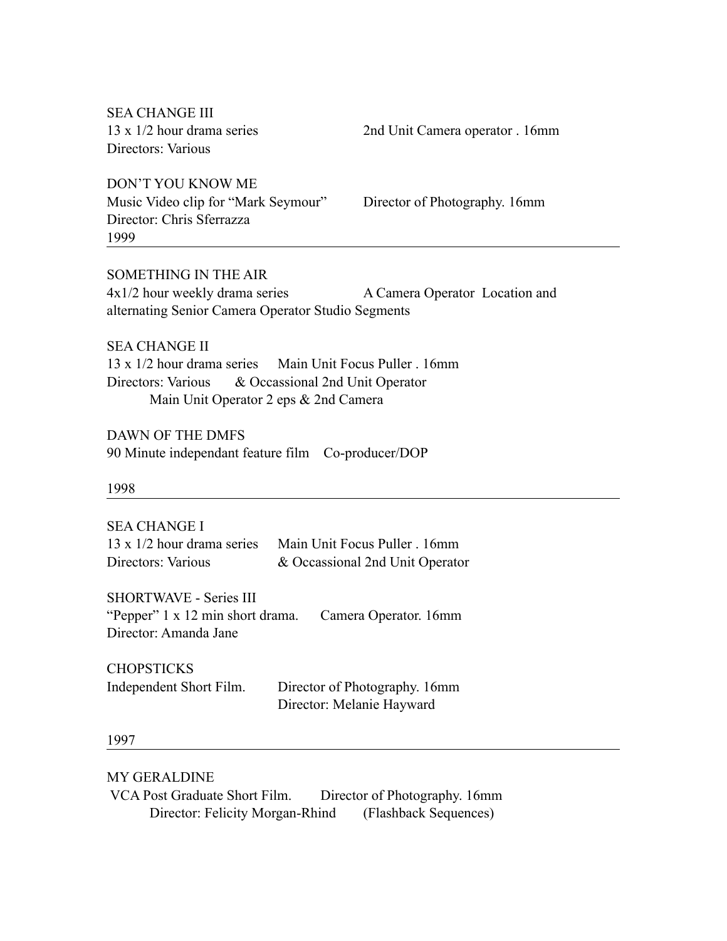SEA CHANGE III Directors: Various

13 x 1/2 hour drama series 2nd Unit Camera operator . 16mm

DON'T YOU KNOW ME Music Video clip for "Mark Seymour" Director of Photography. 16mm Director: Chris Sferrazza 1999

SOMETHING IN THE AIR 4x1/2 hour weekly drama series A Camera Operator Location and alternating Senior Camera Operator Studio Segments

SEA CHANGE II 13 x 1/2 hour drama series Main Unit Focus Puller . 16mm Directors: Various & Occassional 2nd Unit Operator Main Unit Operator 2 eps & 2nd Camera

DAWN OF THE DMFS 90 Minute independant feature film Co-producer/DOP

1998

SEA CHANGE I 13 x 1/2 hour drama series Main Unit Focus Puller . 16mm Directors: Various & Occassional 2nd Unit Operator

SHORTWAVE - Series III "Pepper" 1 x 12 min short drama. Camera Operator. 16mm Director: Amanda Jane

| <b>CHOPSTICKS</b>       |                               |
|-------------------------|-------------------------------|
| Independent Short Film. | Director of Photography. 16mm |
|                         | Director: Melanie Hayward     |

1997

MY GERALDINE

 VCA Post Graduate Short Film. Director of Photography. 16mm Director: Felicity Morgan-Rhind (Flashback Sequences)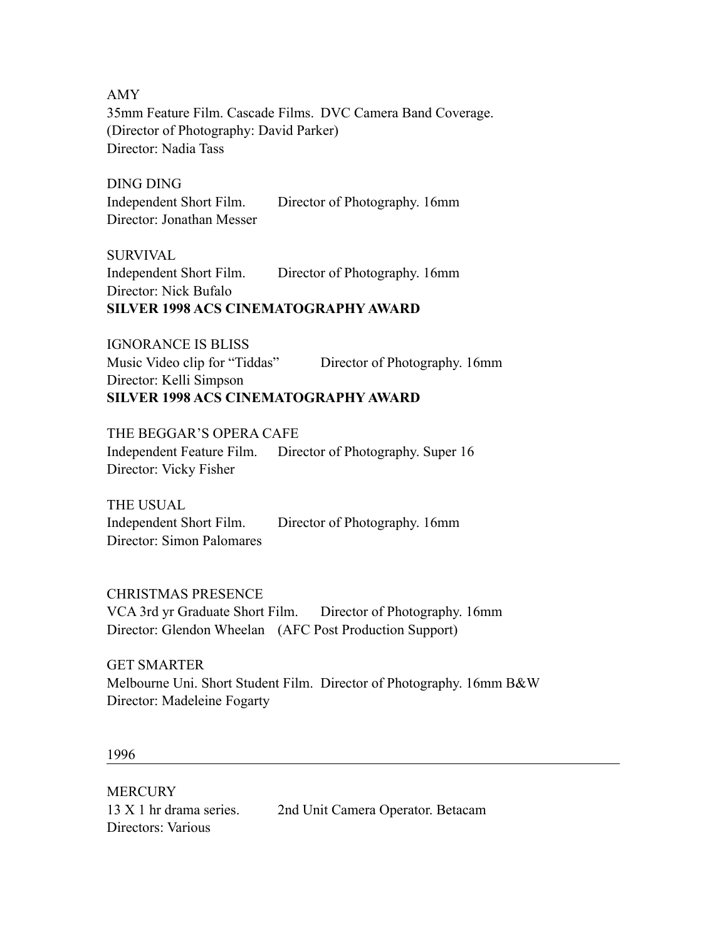AMY 35mm Feature Film. Cascade Films. DVC Camera Band Coverage. (Director of Photography: David Parker) Director: Nadia Tass

DING DING Independent Short Film. Director of Photography. 16mm Director: Jonathan Messer

SURVIVAL Independent Short Film. Director of Photography. 16mm Director: Nick Bufalo **SILVER 1998 ACS CINEMATOGRAPHY AWARD** 

IGNORANCE IS BLISS Music Video clip for "Tiddas" Director of Photography. 16mm Director: Kelli Simpson **SILVER 1998 ACS CINEMATOGRAPHY AWARD** 

THE BEGGAR'S OPERA CAFE Independent Feature Film. Director of Photography. Super 16 Director: Vicky Fisher

THE USUAL Independent Short Film. Director of Photography. 16mm Director: Simon Palomares

CHRISTMAS PRESENCE

VCA 3rd yr Graduate Short Film. Director of Photography. 16mm Director: Glendon Wheelan (AFC Post Production Support)

GET SMARTER

Melbourne Uni. Short Student Film. Director of Photography. 16mm B&W Director: Madeleine Fogarty

1996

**MERCURY** Directors: Various

13 X 1 hr drama series. 2nd Unit Camera Operator. Betacam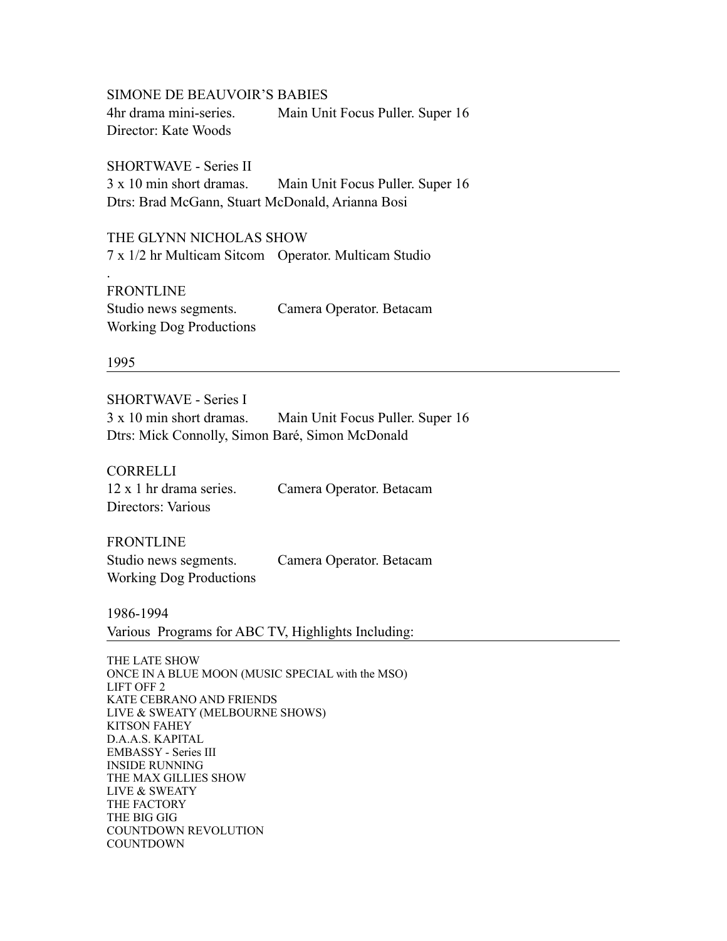SIMONE DE BEAUVOIR'S BABIES 4hr drama mini-series. Main Unit Focus Puller. Super 16 Director: Kate Woods

SHORTWAVE - Series II 3 x 10 min short dramas. Main Unit Focus Puller. Super 16 Dtrs: Brad McGann, Stuart McDonald, Arianna Bosi

THE GLYNN NICHOLAS SHOW 7 x 1/2 hr Multicam Sitcom Operator. Multicam Studio

FRONTLINE Studio news segments. Camera Operator. Betacam Working Dog Productions

1995

.

SHORTWAVE - Series I 3 x 10 min short dramas. Main Unit Focus Puller. Super 16 Dtrs: Mick Connolly, Simon Baré, Simon McDonald

CORRELLI Directors: Various

12 x 1 hr drama series. Camera Operator. Betacam

FRONTLINE Studio news segments. Camera Operator. Betacam Working Dog Productions

1986-1994 Various Programs for ABC TV, Highlights Including:

THE LATE SHOW ONCE IN A BLUE MOON (MUSIC SPECIAL with the MSO) LIFT OFF 2 KATE CEBRANO AND FRIENDS LIVE & SWEATY (MELBOURNE SHOWS) KITSON FAHEY D.A.A.S. KAPITAL EMBASSY - Series III INSIDE RUNNING THE MAX GILLIES SHOW LIVE & SWEATY THE FACTORY THE BIG GIG COUNTDOWN REVOLUTION COUNTDOWN